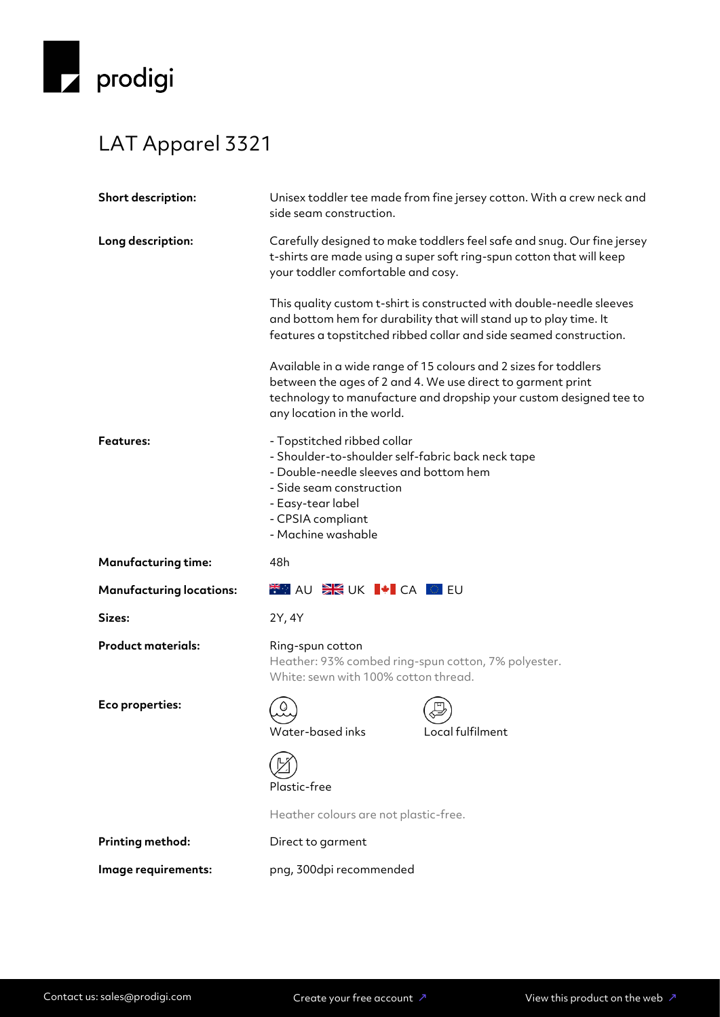

## LAT Apparel 3321

| Unisex toddler tee made from fine jersey cotton. With a crew neck and<br>side seam construction.                                                                                                                                    |
|-------------------------------------------------------------------------------------------------------------------------------------------------------------------------------------------------------------------------------------|
| Carefully designed to make toddlers feel safe and snug. Our fine jersey<br>t-shirts are made using a super soft ring-spun cotton that will keep<br>your toddler comfortable and cosy.                                               |
| This quality custom t-shirt is constructed with double-needle sleeves<br>and bottom hem for durability that will stand up to play time. It<br>features a topstitched ribbed collar and side seamed construction.                    |
| Available in a wide range of 15 colours and 2 sizes for toddlers<br>between the ages of 2 and 4. We use direct to garment print<br>technology to manufacture and dropship your custom designed tee to<br>any location in the world. |
| - Topstitched ribbed collar<br>- Shoulder-to-shoulder self-fabric back neck tape<br>- Double-needle sleeves and bottom hem<br>- Side seam construction<br>- Easy-tear label<br>- CPSIA compliant<br>- Machine washable              |
|                                                                                                                                                                                                                                     |
| 48h                                                                                                                                                                                                                                 |
| <b>FOR AU SK UK I+I CA O EU</b>                                                                                                                                                                                                     |
| 2Y, 4Y                                                                                                                                                                                                                              |
| Ring-spun cotton<br>Heather: 93% combed ring-spun cotton, 7% polyester.<br>White: sewn with 100% cotton thread.                                                                                                                     |
| Local fulfilment<br>Water-based inks                                                                                                                                                                                                |
| Plastic-free                                                                                                                                                                                                                        |
| Heather colours are not plastic-free.                                                                                                                                                                                               |
| Direct to garment                                                                                                                                                                                                                   |
|                                                                                                                                                                                                                                     |